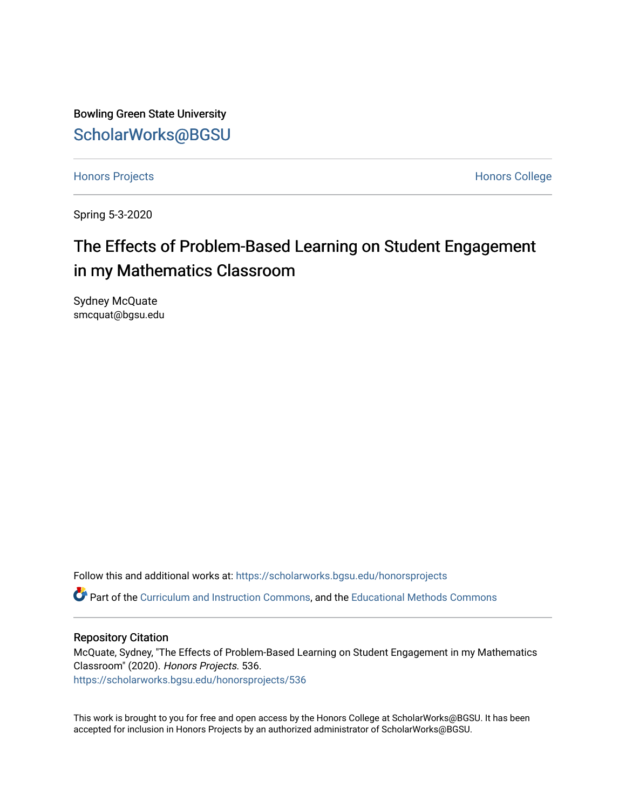Bowling Green State University [ScholarWorks@BGSU](https://scholarworks.bgsu.edu/) 

[Honors Projects](https://scholarworks.bgsu.edu/honorsprojects) **Honors** College

Spring 5-3-2020

# The Effects of Problem-Based Learning on Student Engagement in my Mathematics Classroom

Sydney McQuate smcquat@bgsu.edu

Follow this and additional works at: [https://scholarworks.bgsu.edu/honorsprojects](https://scholarworks.bgsu.edu/honorsprojects?utm_source=scholarworks.bgsu.edu%2Fhonorsprojects%2F536&utm_medium=PDF&utm_campaign=PDFCoverPages) 

Part of the [Curriculum and Instruction Commons,](http://network.bepress.com/hgg/discipline/786?utm_source=scholarworks.bgsu.edu%2Fhonorsprojects%2F536&utm_medium=PDF&utm_campaign=PDFCoverPages) and the [Educational Methods Commons](http://network.bepress.com/hgg/discipline/1227?utm_source=scholarworks.bgsu.edu%2Fhonorsprojects%2F536&utm_medium=PDF&utm_campaign=PDFCoverPages)

## Repository Citation

McQuate, Sydney, "The Effects of Problem-Based Learning on Student Engagement in my Mathematics Classroom" (2020). Honors Projects. 536. [https://scholarworks.bgsu.edu/honorsprojects/536](https://scholarworks.bgsu.edu/honorsprojects/536?utm_source=scholarworks.bgsu.edu%2Fhonorsprojects%2F536&utm_medium=PDF&utm_campaign=PDFCoverPages) 

This work is brought to you for free and open access by the Honors College at ScholarWorks@BGSU. It has been accepted for inclusion in Honors Projects by an authorized administrator of ScholarWorks@BGSU.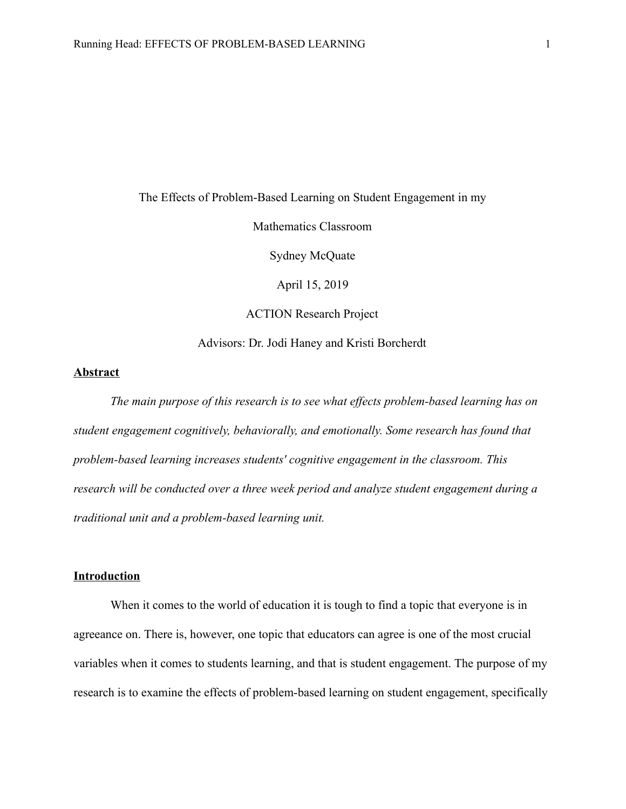The Effects of Problem-Based Learning on Student Engagement in my Mathematics Classroom Sydney McQuate April 15, 2019 ACTION Research Project Advisors: Dr. Jodi Haney and Kristi Borcherdt

# **Abstract**

*The main purpose of this research is to see what effects problem-based learning has on student engagement cognitively, behaviorally, and emotionally. Some research has found that problem-based learning increases students' cognitive engagement in the classroom. This research will be conducted over a three week period and analyze student engagement during a traditional unit and a problem-based learning unit.* 

# **Introduction**

When it comes to the world of education it is tough to find a topic that everyone is in agreeance on. There is, however, one topic that educators can agree is one of the most crucial variables when it comes to students learning, and that is student engagement. The purpose of my research is to examine the effects of problem-based learning on student engagement, specifically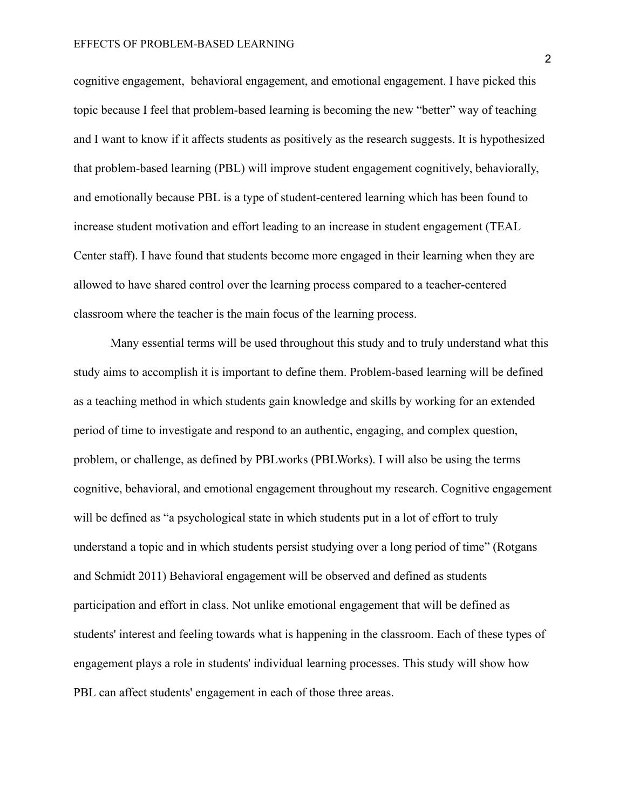cognitive engagement, behavioral engagement, and emotional engagement. I have picked this topic because I feel that problem-based learning is becoming the new "better" way of teaching and I want to know if it affects students as positively as the research suggests. It is hypothesized that problem-based learning (PBL) will improve student engagement cognitively, behaviorally, and emotionally because PBL is a type of student-centered learning which has been found to increase student motivation and effort leading to an increase in student engagement (TEAL Center staff). I have found that students become more engaged in their learning when they are allowed to have shared control over the learning process compared to a teacher-centered classroom where the teacher is the main focus of the learning process.

Many essential terms will be used throughout this study and to truly understand what this study aims to accomplish it is important to define them. Problem-based learning will be defined as a teaching method in which students gain knowledge and skills by working for an extended period of time to investigate and respond to an authentic, engaging, and complex question, problem, or challenge, as defined by PBLworks (PBLWorks). I will also be using the terms cognitive, behavioral, and emotional engagement throughout my research. Cognitive engagement will be defined as "a psychological state in which students put in a lot of effort to truly understand a topic and in which students persist studying over a long period of time" (Rotgans and Schmidt 2011) Behavioral engagement will be observed and defined as students participation and effort in class. Not unlike emotional engagement that will be defined as students' interest and feeling towards what is happening in the classroom. Each of these types of engagement plays a role in students' individual learning processes. This study will show how PBL can affect students' engagement in each of those three areas.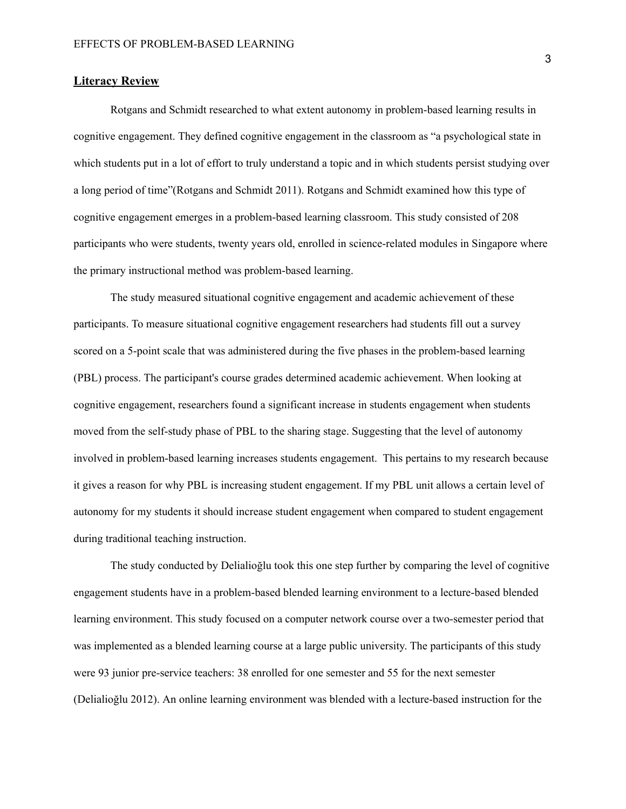# **Literacy Review**

Rotgans and Schmidt researched to what extent autonomy in problem-based learning results in cognitive engagement. They defined cognitive engagement in the classroom as "a psychological state in which students put in a lot of effort to truly understand a topic and in which students persist studying over a long period of time"(Rotgans and Schmidt 2011). Rotgans and Schmidt examined how this type of cognitive engagement emerges in a problem-based learning classroom. This study consisted of 208 participants who were students, twenty years old, enrolled in science-related modules in Singapore where the primary instructional method was problem-based learning.

The study measured situational cognitive engagement and academic achievement of these participants. To measure situational cognitive engagement researchers had students fill out a survey scored on a 5-point scale that was administered during the five phases in the problem-based learning (PBL) process. The participant's course grades determined academic achievement. When looking at cognitive engagement, researchers found a significant increase in students engagement when students moved from the self-study phase of PBL to the sharing stage. Suggesting that the level of autonomy involved in problem-based learning increases students engagement. This pertains to my research because it gives a reason for why PBL is increasing student engagement. If my PBL unit allows a certain level of autonomy for my students it should increase student engagement when compared to student engagement during traditional teaching instruction.

The study conducted by Delialioğlu took this one step further by comparing the level of cognitive engagement students have in a problem-based blended learning environment to a lecture-based blended learning environment. This study focused on a computer network course over a two-semester period that was implemented as a blended learning course at a large public university. The participants of this study were 93 junior pre-service teachers: 38 enrolled for one semester and 55 for the next semester (Delialioğlu 2012). An online learning environment was blended with a lecture-based instruction for the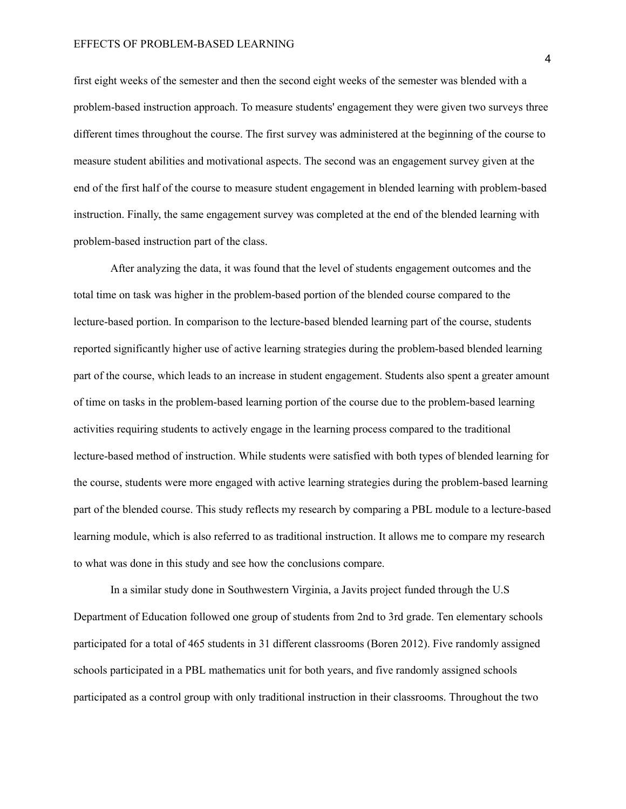#### EFFECTS OF PROBLEM-BASED LEARNING

first eight weeks of the semester and then the second eight weeks of the semester was blended with a problem-based instruction approach. To measure students' engagement they were given two surveys three different times throughout the course. The first survey was administered at the beginning of the course to measure student abilities and motivational aspects. The second was an engagement survey given at the end of the first half of the course to measure student engagement in blended learning with problem-based instruction. Finally, the same engagement survey was completed at the end of the blended learning with problem-based instruction part of the class.

After analyzing the data, it was found that the level of students engagement outcomes and the total time on task was higher in the problem-based portion of the blended course compared to the lecture-based portion. In comparison to the lecture-based blended learning part of the course, students reported significantly higher use of active learning strategies during the problem-based blended learning part of the course, which leads to an increase in student engagement. Students also spent a greater amount of time on tasks in the problem-based learning portion of the course due to the problem-based learning activities requiring students to actively engage in the learning process compared to the traditional lecture-based method of instruction. While students were satisfied with both types of blended learning for the course, students were more engaged with active learning strategies during the problem-based learning part of the blended course. This study reflects my research by comparing a PBL module to a lecture-based learning module, which is also referred to as traditional instruction. It allows me to compare my research to what was done in this study and see how the conclusions compare.

In a similar study done in Southwestern Virginia, a Javits project funded through the U.S Department of Education followed one group of students from 2nd to 3rd grade. Ten elementary schools participated for a total of 465 students in 31 different classrooms (Boren 2012). Five randomly assigned schools participated in a PBL mathematics unit for both years, and five randomly assigned schools participated as a control group with only traditional instruction in their classrooms. Throughout the two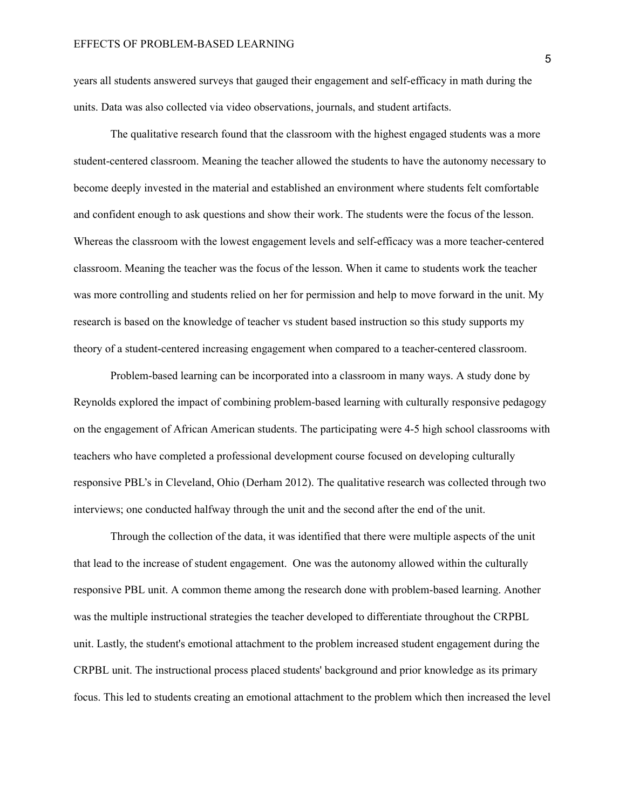years all students answered surveys that gauged their engagement and self-efficacy in math during the units. Data was also collected via video observations, journals, and student artifacts.

The qualitative research found that the classroom with the highest engaged students was a more student-centered classroom. Meaning the teacher allowed the students to have the autonomy necessary to become deeply invested in the material and established an environment where students felt comfortable and confident enough to ask questions and show their work. The students were the focus of the lesson. Whereas the classroom with the lowest engagement levels and self-efficacy was a more teacher-centered classroom. Meaning the teacher was the focus of the lesson. When it came to students work the teacher was more controlling and students relied on her for permission and help to move forward in the unit. My research is based on the knowledge of teacher vs student based instruction so this study supports my theory of a student-centered increasing engagement when compared to a teacher-centered classroom.

Problem-based learning can be incorporated into a classroom in many ways. A study done by Reynolds explored the impact of combining problem-based learning with culturally responsive pedagogy on the engagement of African American students. The participating were 4-5 high school classrooms with teachers who have completed a professional development course focused on developing culturally responsive PBL's in Cleveland, Ohio (Derham 2012). The qualitative research was collected through two interviews; one conducted halfway through the unit and the second after the end of the unit.

Through the collection of the data, it was identified that there were multiple aspects of the unit that lead to the increase of student engagement. One was the autonomy allowed within the culturally responsive PBL unit. A common theme among the research done with problem-based learning. Another was the multiple instructional strategies the teacher developed to differentiate throughout the CRPBL unit. Lastly, the student's emotional attachment to the problem increased student engagement during the CRPBL unit. The instructional process placed students' background and prior knowledge as its primary focus. This led to students creating an emotional attachment to the problem which then increased the level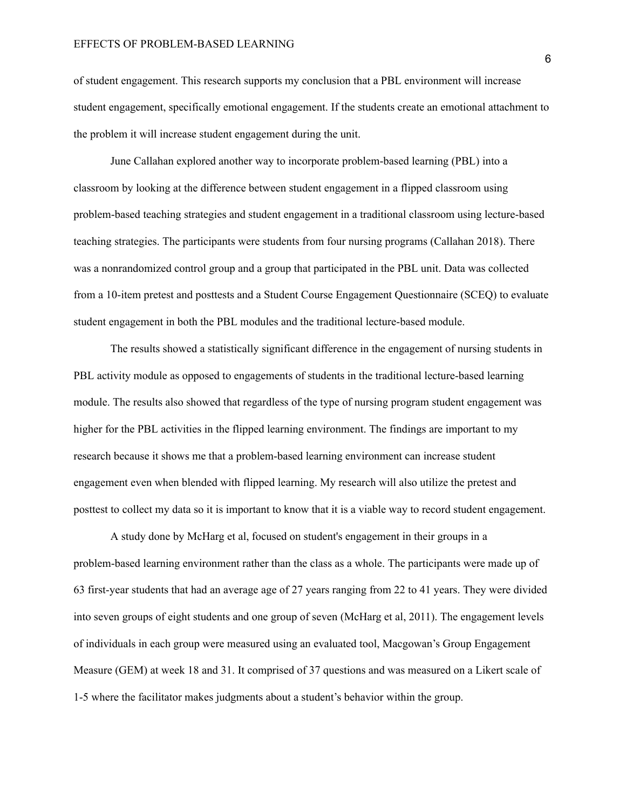of student engagement. This research supports my conclusion that a PBL environment will increase student engagement, specifically emotional engagement. If the students create an emotional attachment to the problem it will increase student engagement during the unit.

June Callahan explored another way to incorporate problem-based learning (PBL) into a classroom by looking at the difference between student engagement in a flipped classroom using problem-based teaching strategies and student engagement in a traditional classroom using lecture-based teaching strategies. The participants were students from four nursing programs (Callahan 2018). There was a nonrandomized control group and a group that participated in the PBL unit. Data was collected from a 10-item pretest and posttests and a Student Course Engagement Questionnaire (SCEQ) to evaluate student engagement in both the PBL modules and the traditional lecture-based module.

The results showed a statistically significant difference in the engagement of nursing students in PBL activity module as opposed to engagements of students in the traditional lecture-based learning module. The results also showed that regardless of the type of nursing program student engagement was higher for the PBL activities in the flipped learning environment. The findings are important to my research because it shows me that a problem-based learning environment can increase student engagement even when blended with flipped learning. My research will also utilize the pretest and posttest to collect my data so it is important to know that it is a viable way to record student engagement.

A study done by McHarg et al, focused on student's engagement in their groups in a problem-based learning environment rather than the class as a whole. The participants were made up of 63 first-year students that had an average age of 27 years ranging from 22 to 41 years. They were divided into seven groups of eight students and one group of seven (McHarg et al, 2011). The engagement levels of individuals in each group were measured using an evaluated tool, Macgowan's Group Engagement Measure (GEM) at week 18 and 31. It comprised of 37 questions and was measured on a Likert scale of 1-5 where the facilitator makes judgments about a student's behavior within the group.

6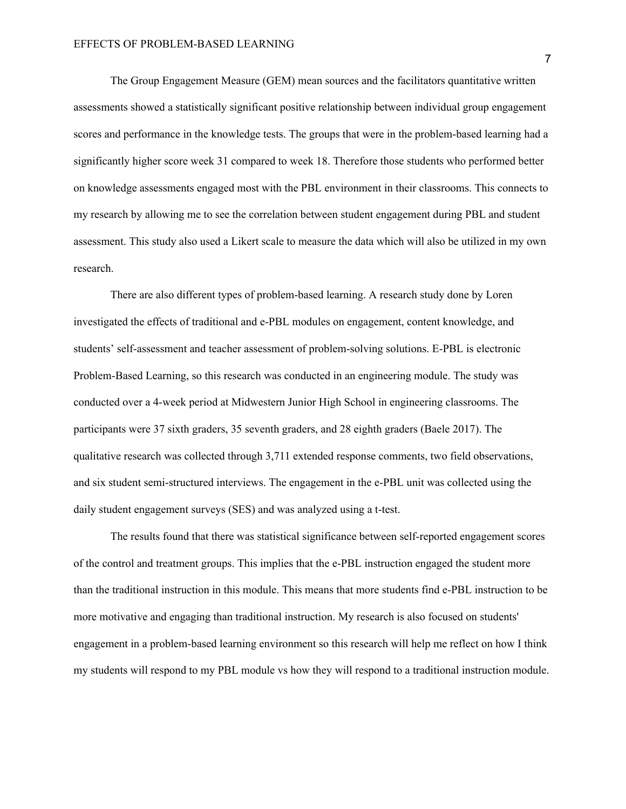The Group Engagement Measure (GEM) mean sources and the facilitators quantitative written assessments showed a statistically significant positive relationship between individual group engagement scores and performance in the knowledge tests. The groups that were in the problem-based learning had a significantly higher score week 31 compared to week 18. Therefore those students who performed better on knowledge assessments engaged most with the PBL environment in their classrooms. This connects to my research by allowing me to see the correlation between student engagement during PBL and student assessment. This study also used a Likert scale to measure the data which will also be utilized in my own research.

There are also different types of problem-based learning. A research study done by Loren investigated the effects of traditional and e-PBL modules on engagement, content knowledge, and students' self-assessment and teacher assessment of problem-solving solutions. E-PBL is electronic Problem-Based Learning, so this research was conducted in an engineering module. The study was conducted over a 4-week period at Midwestern Junior High School in engineering classrooms. The participants were 37 sixth graders, 35 seventh graders, and 28 eighth graders (Baele 2017). The qualitative research was collected through 3,711 extended response comments, two field observations, and six student semi-structured interviews. The engagement in the e-PBL unit was collected using the daily student engagement surveys (SES) and was analyzed using a t-test.

The results found that there was statistical significance between self-reported engagement scores of the control and treatment groups. This implies that the e-PBL instruction engaged the student more than the traditional instruction in this module. This means that more students find e-PBL instruction to be more motivative and engaging than traditional instruction. My research is also focused on students' engagement in a problem-based learning environment so this research will help me reflect on how I think my students will respond to my PBL module vs how they will respond to a traditional instruction module.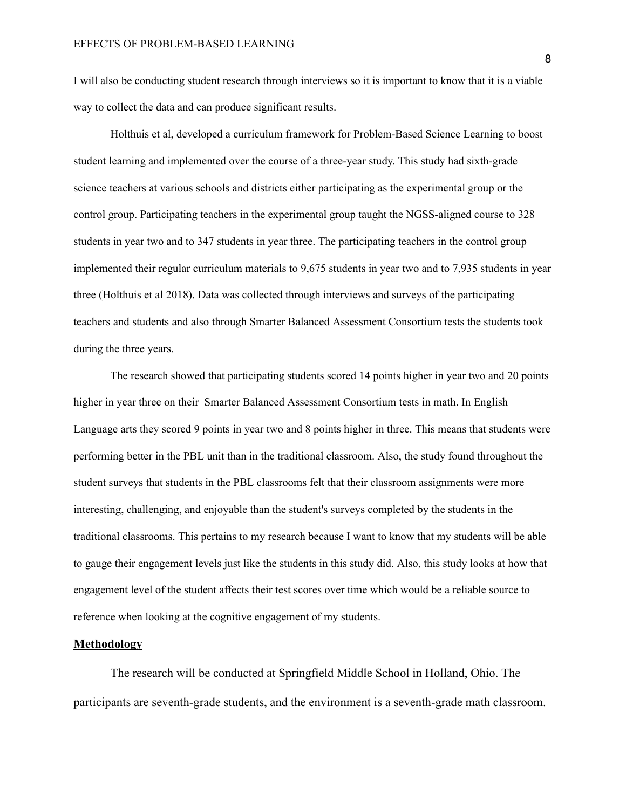I will also be conducting student research through interviews so it is important to know that it is a viable way to collect the data and can produce significant results.

Holthuis et al, developed a curriculum framework for Problem-Based Science Learning to boost student learning and implemented over the course of a three-year study. This study had sixth-grade science teachers at various schools and districts either participating as the experimental group or the control group. Participating teachers in the experimental group taught the NGSS-aligned course to 328 students in year two and to 347 students in year three. The participating teachers in the control group implemented their regular curriculum materials to 9,675 students in year two and to 7,935 students in year three (Holthuis et al 2018). Data was collected through interviews and surveys of the participating teachers and students and also through Smarter Balanced Assessment Consortium tests the students took during the three years.

The research showed that participating students scored 14 points higher in year two and 20 points higher in year three on their Smarter Balanced Assessment Consortium tests in math. In English Language arts they scored 9 points in year two and 8 points higher in three. This means that students were performing better in the PBL unit than in the traditional classroom. Also, the study found throughout the student surveys that students in the PBL classrooms felt that their classroom assignments were more interesting, challenging, and enjoyable than the student's surveys completed by the students in the traditional classrooms. This pertains to my research because I want to know that my students will be able to gauge their engagement levels just like the students in this study did. Also, this study looks at how that engagement level of the student affects their test scores over time which would be a reliable source to reference when looking at the cognitive engagement of my students.

#### **Methodology**

The research will be conducted at Springfield Middle School in Holland, Ohio. The participants are seventh-grade students, and the environment is a seventh-grade math classroom.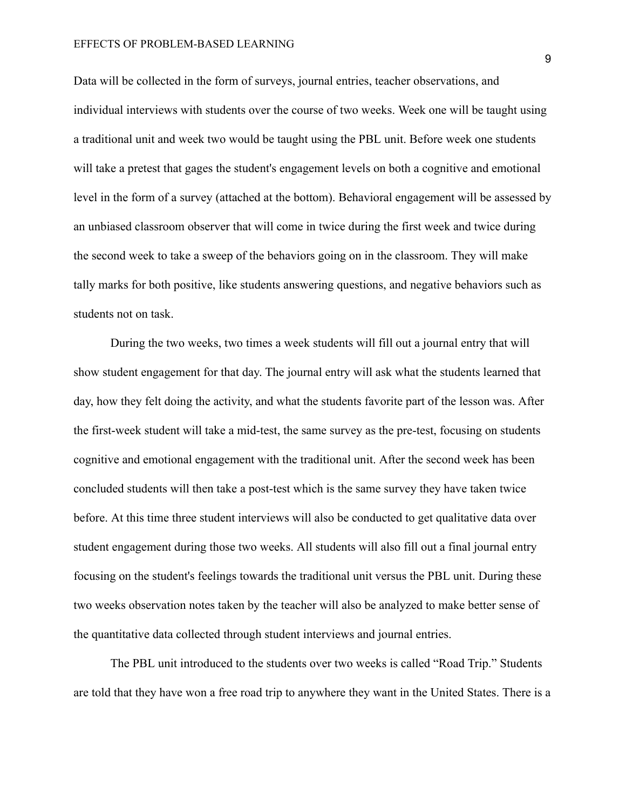#### EFFECTS OF PROBLEM-BASED LEARNING

Data will be collected in the form of surveys, journal entries, teacher observations, and individual interviews with students over the course of two weeks. Week one will be taught using a traditional unit and week two would be taught using the PBL unit. Before week one students will take a pretest that gages the student's engagement levels on both a cognitive and emotional level in the form of a survey (attached at the bottom). Behavioral engagement will be assessed by an unbiased classroom observer that will come in twice during the first week and twice during the second week to take a sweep of the behaviors going on in the classroom. They will make tally marks for both positive, like students answering questions, and negative behaviors such as students not on task.

During the two weeks, two times a week students will fill out a journal entry that will show student engagement for that day. The journal entry will ask what the students learned that day, how they felt doing the activity, and what the students favorite part of the lesson was. After the first-week student will take a mid-test, the same survey as the pre-test, focusing on students cognitive and emotional engagement with the traditional unit. After the second week has been concluded students will then take a post-test which is the same survey they have taken twice before. At this time three student interviews will also be conducted to get qualitative data over student engagement during those two weeks. All students will also fill out a final journal entry focusing on the student's feelings towards the traditional unit versus the PBL unit. During these two weeks observation notes taken by the teacher will also be analyzed to make better sense of the quantitative data collected through student interviews and journal entries.

The PBL unit introduced to the students over two weeks is called "Road Trip." Students are told that they have won a free road trip to anywhere they want in the United States. There is a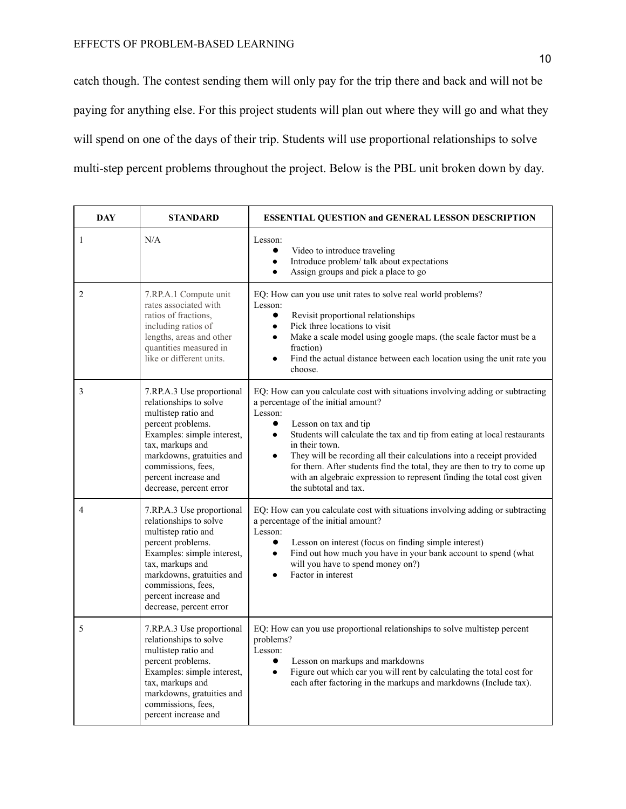catch though. The contest sending them will only pay for the trip there and back and will not be paying for anything else. For this project students will plan out where they will go and what they will spend on one of the days of their trip. Students will use proportional relationships to solve multi-step percent problems throughout the project. Below is the PBL unit broken down by day.

| <b>DAY</b> | <b>STANDARD</b>                                                                                                                                                                                                                                         | ESSENTIAL QUESTION and GENERAL LESSON DESCRIPTION                                                                                                                                                                                                                                                                                                                                                                                                                                                                                                      |  |  |
|------------|---------------------------------------------------------------------------------------------------------------------------------------------------------------------------------------------------------------------------------------------------------|--------------------------------------------------------------------------------------------------------------------------------------------------------------------------------------------------------------------------------------------------------------------------------------------------------------------------------------------------------------------------------------------------------------------------------------------------------------------------------------------------------------------------------------------------------|--|--|
| 1          | N/A                                                                                                                                                                                                                                                     | Lesson:<br>Video to introduce traveling<br>$\bullet$<br>Introduce problem/ talk about expectations<br>$\bullet$<br>Assign groups and pick a place to go<br>$\bullet$                                                                                                                                                                                                                                                                                                                                                                                   |  |  |
| 2          | 7.RP.A.1 Compute unit<br>rates associated with<br>ratios of fractions.<br>including ratios of<br>lengths, areas and other<br>quantities measured in<br>like or different units.                                                                         | EQ: How can you use unit rates to solve real world problems?<br>Lesson:<br>Revisit proportional relationships<br>$\bullet$<br>Pick three locations to visit<br>$\bullet$<br>Make a scale model using google maps. (the scale factor must be a<br>$\bullet$<br>fraction)<br>Find the actual distance between each location using the unit rate you<br>choose.                                                                                                                                                                                           |  |  |
| 3          | 7.RP.A.3 Use proportional<br>relationships to solve<br>multistep ratio and<br>percent problems.<br>Examples: simple interest,<br>tax, markups and<br>markdowns, gratuities and<br>commissions, fees,<br>percent increase and<br>decrease, percent error | EQ: How can you calculate cost with situations involving adding or subtracting<br>a percentage of the initial amount?<br>Lesson:<br>$\bullet$<br>Lesson on tax and tip<br>Students will calculate the tax and tip from eating at local restaurants<br>$\bullet$<br>in their town.<br>They will be recording all their calculations into a receipt provided<br>$\bullet$<br>for them. After students find the total, they are then to try to come up<br>with an algebraic expression to represent finding the total cost given<br>the subtotal and tax. |  |  |
| 4          | 7.RP.A.3 Use proportional<br>relationships to solve<br>multistep ratio and<br>percent problems.<br>Examples: simple interest,<br>tax, markups and<br>markdowns, gratuities and<br>commissions, fees,<br>percent increase and<br>decrease, percent error | EQ: How can you calculate cost with situations involving adding or subtracting<br>a percentage of the initial amount?<br>Lesson:<br>Lesson on interest (focus on finding simple interest)<br>$\bullet$<br>Find out how much you have in your bank account to spend (what<br>$\bullet$<br>will you have to spend money on?)<br>Factor in interest                                                                                                                                                                                                       |  |  |
| 5          | 7.RP.A.3 Use proportional<br>relationships to solve<br>multistep ratio and<br>percent problems.<br>Examples: simple interest,<br>tax, markups and<br>markdowns, gratuities and<br>commissions, fees,<br>percent increase and                            | EQ: How can you use proportional relationships to solve multistep percent<br>problems?<br>Lesson:<br>Lesson on markups and markdowns<br>$\bullet$<br>Figure out which car you will rent by calculating the total cost for<br>$\bullet$<br>each after factoring in the markups and markdowns (Include tax).                                                                                                                                                                                                                                             |  |  |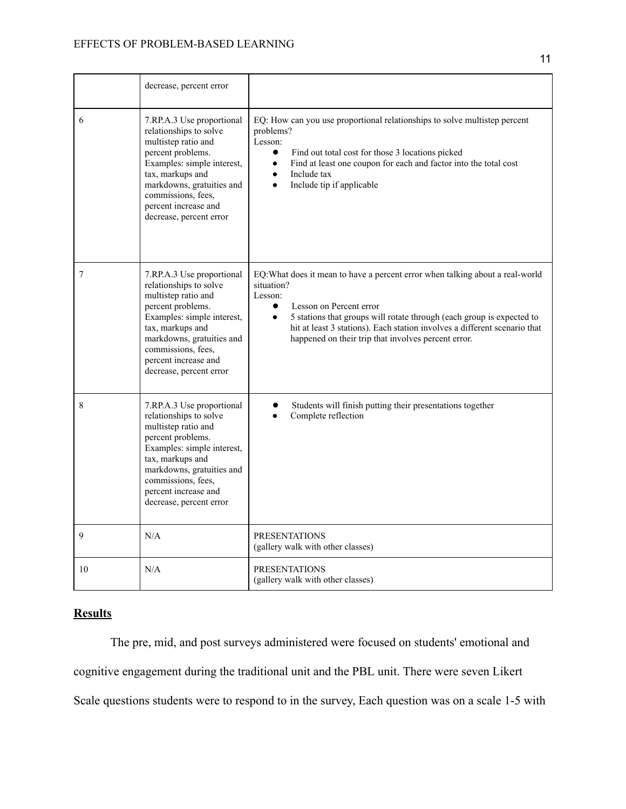|    | decrease, percent error                                                                                                                                                                                                                                 |                                                                                                                                                                                                                                                                                                                                                                          |
|----|---------------------------------------------------------------------------------------------------------------------------------------------------------------------------------------------------------------------------------------------------------|--------------------------------------------------------------------------------------------------------------------------------------------------------------------------------------------------------------------------------------------------------------------------------------------------------------------------------------------------------------------------|
| 6  | 7.RP.A.3 Use proportional<br>relationships to solve<br>multistep ratio and<br>percent problems.<br>Examples: simple interest,<br>tax, markups and<br>markdowns, gratuities and<br>commissions, fees,<br>percent increase and<br>decrease, percent error | EQ: How can you use proportional relationships to solve multistep percent<br>problems?<br>Lesson:<br>Find out total cost for those 3 locations picked<br>$\bullet$<br>Find at least one coupon for each and factor into the total cost<br>$\bullet$<br>Include tax<br>$\bullet$<br>Include tip if applicable<br>$\bullet$                                                |
| 7  | 7.RP.A.3 Use proportional<br>relationships to solve<br>multistep ratio and<br>percent problems.<br>Examples: simple interest,<br>tax, markups and<br>markdowns, gratuities and<br>commissions, fees,<br>percent increase and<br>decrease, percent error | EQ: What does it mean to have a percent error when talking about a real-world<br>situation?<br>Lesson:<br>Lesson on Percent error<br>$\bullet$<br>5 stations that groups will rotate through (each group is expected to<br>$\bullet$<br>hit at least 3 stations). Each station involves a different scenario that<br>happened on their trip that involves percent error. |
| 8  | 7.RP.A.3 Use proportional<br>relationships to solve<br>multistep ratio and<br>percent problems.<br>Examples: simple interest,<br>tax, markups and<br>markdowns, gratuities and<br>commissions, fees,<br>percent increase and<br>decrease, percent error | Students will finish putting their presentations together<br>Complete reflection                                                                                                                                                                                                                                                                                         |
| 9  | N/A                                                                                                                                                                                                                                                     | <b>PRESENTATIONS</b><br>(gallery walk with other classes)                                                                                                                                                                                                                                                                                                                |
| 10 | N/A                                                                                                                                                                                                                                                     | <b>PRESENTATIONS</b><br>(gallery walk with other classes)                                                                                                                                                                                                                                                                                                                |

# **Results**

The pre, mid, and post surveys administered were focused on students' emotional and cognitive engagement during the traditional unit and the PBL unit. There were seven Likert Scale questions students were to respond to in the survey, Each question was on a scale 1-5 with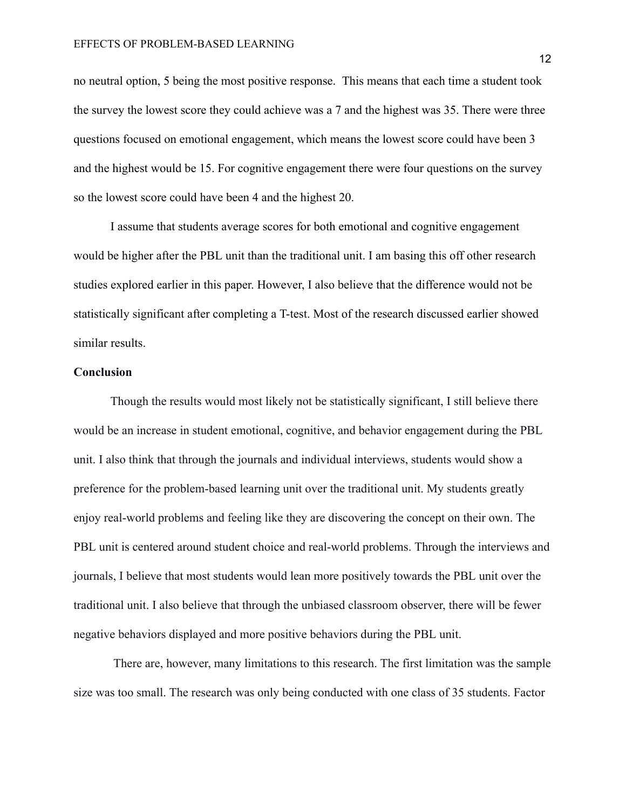no neutral option, 5 being the most positive response. This means that each time a student took the survey the lowest score they could achieve was a 7 and the highest was 35. There were three questions focused on emotional engagement, which means the lowest score could have been 3 and the highest would be 15. For cognitive engagement there were four questions on the survey so the lowest score could have been 4 and the highest 20.

I assume that students average scores for both emotional and cognitive engagement would be higher after the PBL unit than the traditional unit. I am basing this off other research studies explored earlier in this paper. However, I also believe that the difference would not be statistically significant after completing a T-test. Most of the research discussed earlier showed similar results.

## **Conclusion**

Though the results would most likely not be statistically significant, I still believe there would be an increase in student emotional, cognitive, and behavior engagement during the PBL unit. I also think that through the journals and individual interviews, students would show a preference for the problem-based learning unit over the traditional unit. My students greatly enjoy real-world problems and feeling like they are discovering the concept on their own. The PBL unit is centered around student choice and real-world problems. Through the interviews and journals, I believe that most students would lean more positively towards the PBL unit over the traditional unit. I also believe that through the unbiased classroom observer, there will be fewer negative behaviors displayed and more positive behaviors during the PBL unit.

 There are, however, many limitations to this research. The first limitation was the sample size was too small. The research was only being conducted with one class of 35 students. Factor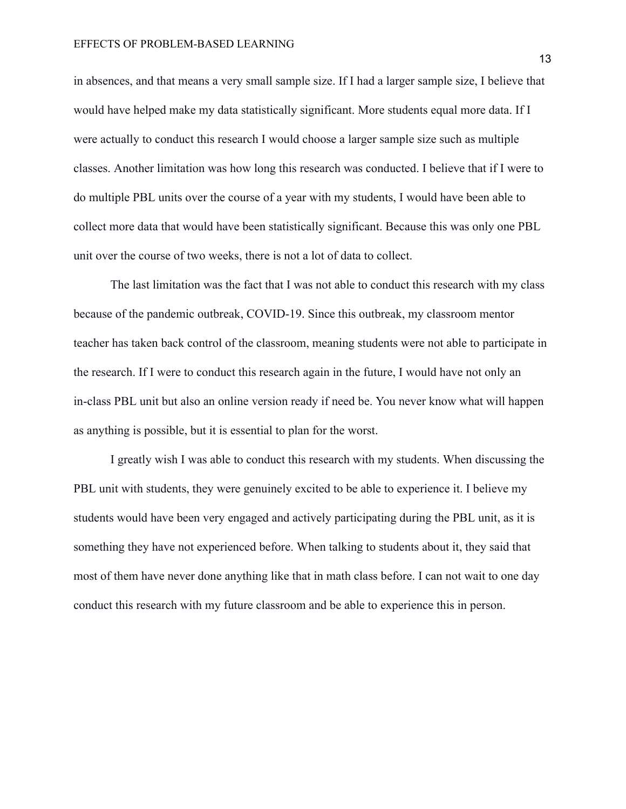in absences, and that means a very small sample size. If I had a larger sample size, I believe that would have helped make my data statistically significant. More students equal more data. If I were actually to conduct this research I would choose a larger sample size such as multiple classes. Another limitation was how long this research was conducted. I believe that if I were to do multiple PBL units over the course of a year with my students, I would have been able to collect more data that would have been statistically significant. Because this was only one PBL unit over the course of two weeks, there is not a lot of data to collect.

The last limitation was the fact that I was not able to conduct this research with my class because of the pandemic outbreak, COVID-19. Since this outbreak, my classroom mentor teacher has taken back control of the classroom, meaning students were not able to participate in the research. If I were to conduct this research again in the future, I would have not only an in-class PBL unit but also an online version ready if need be. You never know what will happen as anything is possible, but it is essential to plan for the worst.

I greatly wish I was able to conduct this research with my students. When discussing the PBL unit with students, they were genuinely excited to be able to experience it. I believe my students would have been very engaged and actively participating during the PBL unit, as it is something they have not experienced before. When talking to students about it, they said that most of them have never done anything like that in math class before. I can not wait to one day conduct this research with my future classroom and be able to experience this in person.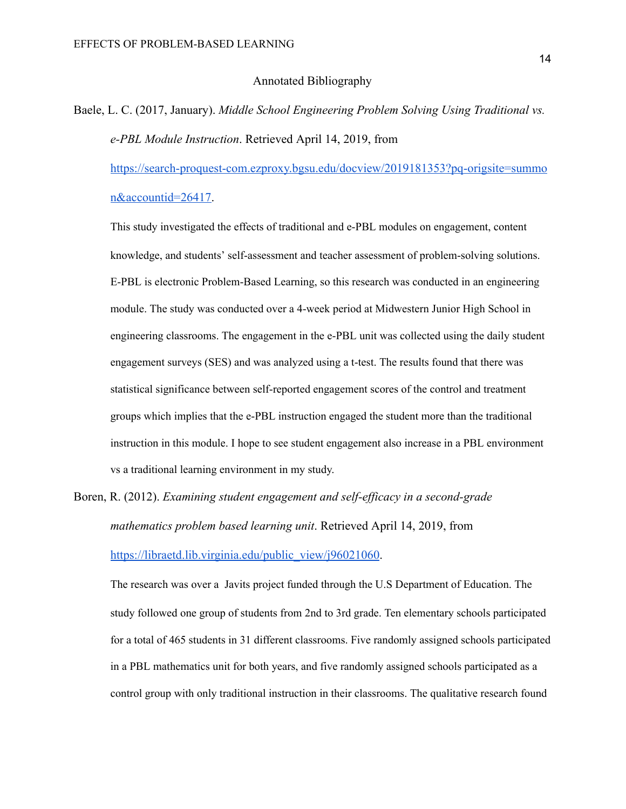## Annotated Bibliography

Baele, L. C. (2017, January). *Middle School Engineering Problem Solving Using Traditional vs. e-PBL Module Instruction* . Retrieved April 14, 2019, from

[https://search-proquest-com.ezproxy.bgsu.edu/docview/2019181353?pq-origsite=summo](https://search-proquest-com.ezproxy.bgsu.edu/docview/2019181353?pq-origsite=summon&accountid=26417)  [n&accountid=26417 .](https://search-proquest-com.ezproxy.bgsu.edu/docview/2019181353?pq-origsite=summon&accountid=26417)

This study investigated the effects of traditional and e-PBL modules on engagement, content knowledge, and students' self-assessment and teacher assessment of problem-solving solutions. E-PBL is electronic Problem-Based Learning, so this research was conducted in an engineering module. The study was conducted over a 4-week period at Midwestern Junior High School in engineering classrooms. The engagement in the e-PBL unit was collected using the daily student engagement surveys (SES) and was analyzed using a t-test. The results found that there was statistical significance between self-reported engagement scores of the control and treatment groups which implies that the e-PBL instruction engaged the student more than the traditional instruction in this module. I hope to see student engagement also increase in a PBL environment vs a traditional learning environment in my study.

Boren, R. (2012). *Examining student engagement and self-efficacy in a second-grade mathematics problem based learning unit* . Retrieved April 14, 2019, from [https://libraetd.lib.virginia.edu/public\\_view/j96021060](https://libraetd.lib.virginia.edu/public_view/j96021060).

The research was over a Javits project funded through the U.S Department of Education. The study followed one group of students from 2nd to 3rd grade. Ten elementary schools participated for a total of 465 students in 31 different classrooms. Five randomly assigned schools participated in a PBL mathematics unit for both years, and five randomly assigned schools participated as a control group with only traditional instruction in their classrooms. The qualitative research found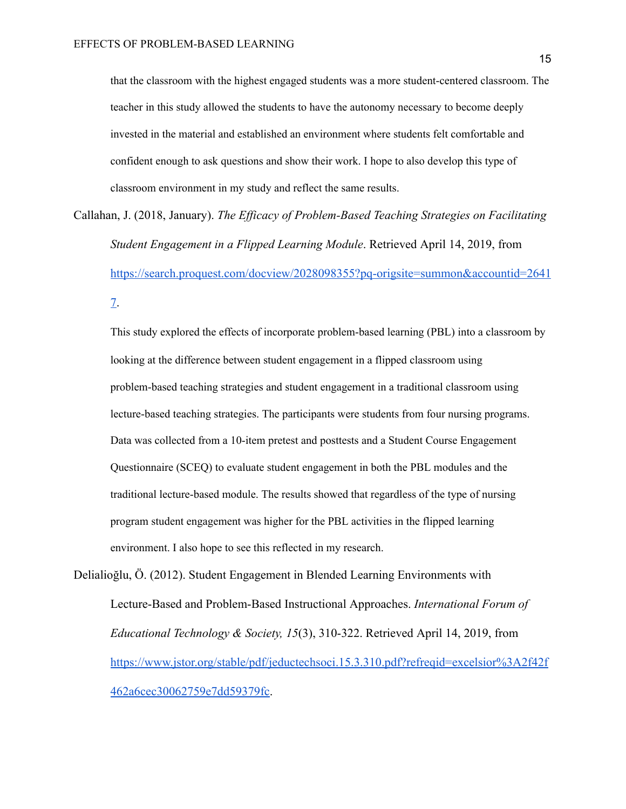that the classroom with the highest engaged students was a more student-centered classroom. The teacher in this study allowed the students to have the autonomy necessary to become deeply invested in the material and established an environment where students felt comfortable and confident enough to ask questions and show their work. I hope to also develop this type of classroom environment in my study and reflect the same results.

Callahan, J. (2018, January). *The Efficacy of Problem-Based Teaching Strategies on Facilitating Student Engagement in a Flipped Learning Module* . Retrieved April 14, 2019, from [https://search.proquest.com/docview/2028098355?pq-origsite=summon&accountid=2641](https://search.proquest.com/docview/2028098355?pq-origsite=summon&accountid=26417)  $\mathcal{I}$ .

This study explored the effects of incorporate problem-based learning (PBL) into a classroom by looking at the difference between student engagement in a flipped classroom using problem-based teaching strategies and student engagement in a traditional classroom using lecture-based teaching strategies. The participants were students from four nursing programs. Data was collected from a 10-item pretest and posttests and a Student Course Engagement Questionnaire (SCEQ) to evaluate student engagement in both the PBL modules and the traditional lecture-based module. The results showed that regardless of the type of nursing program student engagement was higher for the PBL activities in the flipped learning environment. I also hope to see this reflected in my research.

Delialioğlu, Ö. (2012). Student Engagement in Blended Learning Environments with Lecture-Based and Problem-Based Instructional Approaches. *International Forum of Educational Technology & Society, 15* (3), 310-322. Retrieved April 14, 2019, from [https://www.jstor.org/stable/pdf/jeductechsoci.15.3.310.pdf?refreqid=excelsior%3A2f42f](https://www.jstor.org/stable/pdf/jeductechsoci.15.3.310.pdf?refreqid=excelsior%3A2f42f462a6cec30062759e7dd59379fc) [462a6cec30062759e7dd59379fc .](https://www.jstor.org/stable/pdf/jeductechsoci.15.3.310.pdf?refreqid=excelsior%3A2f42f462a6cec30062759e7dd59379fc)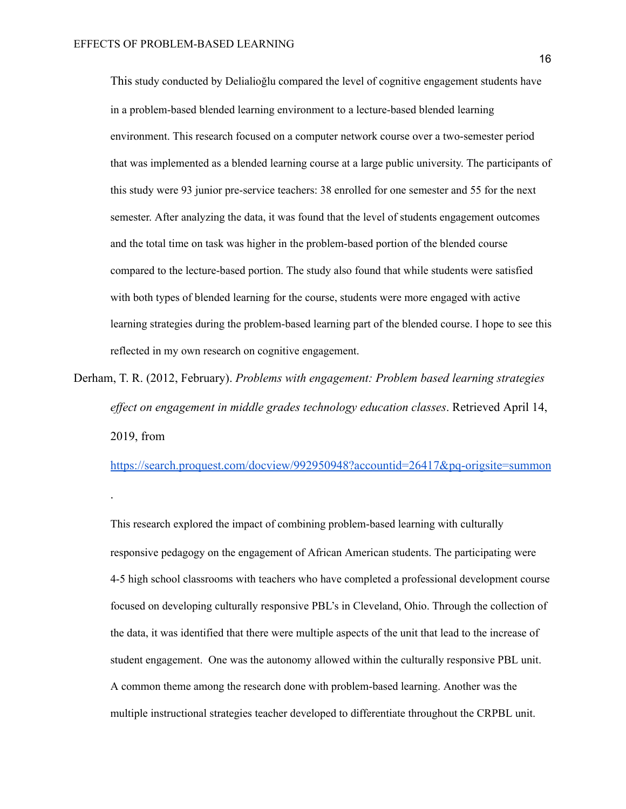.

This study conducted by Delialioğlu compared the level of cognitive engagement students have in a problem-based blended learning environment to a lecture-based blended learning environment. This research focused on a computer network course over a two-semester period that was implemented as a blended learning course at a large public university. The participants of this study were 93 junior pre-service teachers: 38 enrolled for one semester and 55 for the next semester. After analyzing the data, it was found that the level of students engagement outcomes and the total time on task was higher in the problem-based portion of the blended course compared to the lecture-based portion. The study also found that while students were satisfied with both types of blended learning for the course, students were more engaged with active learning strategies during the problem-based learning part of the blended course. I hope to see this reflected in my own research on cognitive engagement.

Derham, T. R. (2012, February). *Problems with engagement: Problem based learning strategies effect on engagement in middle grades technology education classes* . Retrieved April 14, 2019, from

<https://search.proquest.com/docview/992950948?accountid=26417&pq-origsite=summon>

This research explored the impact of combining problem-based learning with culturally responsive pedagogy on the engagement of African American students. The participating were 4-5 high school classrooms with teachers who have completed a professional development course focused on developing culturally responsive PBL's in Cleveland, Ohio. Through the collection of the data, it was identified that there were multiple aspects of the unit that lead to the increase of student engagement. One was the autonomy allowed within the culturally responsive PBL unit. A common theme among the research done with problem-based learning. Another was the multiple instructional strategies teacher developed to differentiate throughout the CRPBL unit.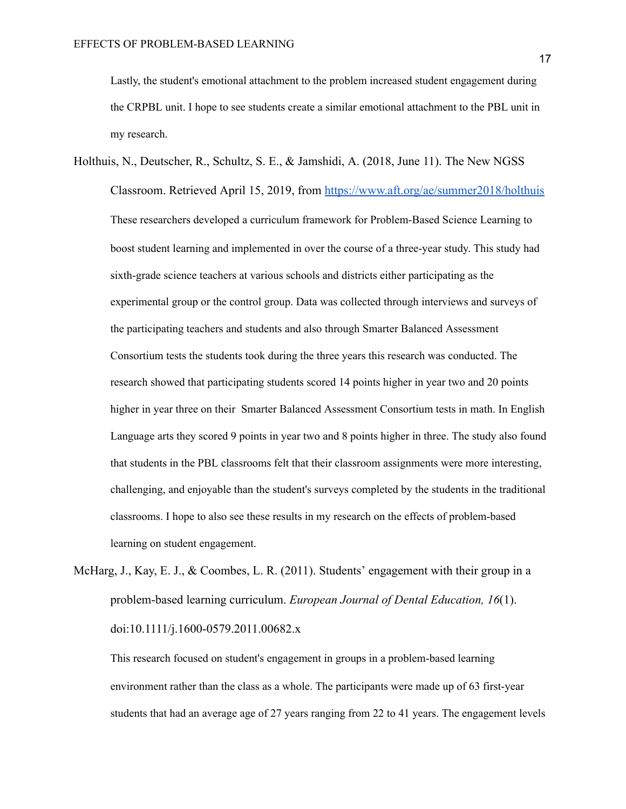Lastly, the student's emotional attachment to the problem increased student engagement during the CRPBL unit. I hope to see students create a similar emotional attachment to the PBL unit in my research.

Holthuis, N., Deutscher, R., Schultz, S. E., & Jamshidi, A. (2018, June 11). The New NGSS Classroom. Retrieved April 15, 2019, from<https://www.aft.org/ae/summer2018/holthuis> These researchers developed a curriculum framework for Problem-Based Science Learning to boost student learning and implemented in over the course of a three-year study. This study had sixth-grade science teachers at various schools and districts either participating as the experimental group or the control group. Data was collected through interviews and surveys of the participating teachers and students and also through Smarter Balanced Assessment Consortium tests the students took during the three years this research was conducted. The research showed that participating students scored 14 points higher in year two and 20 points higher in year three on their Smarter Balanced Assessment Consortium tests in math. In English Language arts they scored 9 points in year two and 8 points higher in three. The study also found that students in the PBL classrooms felt that their classroom assignments were more interesting, challenging, and enjoyable than the student's surveys completed by the students in the traditional classrooms. I hope to also see these results in my research on the effects of problem-based learning on student engagement.

McHarg, J., Kay, E. J., & Coombes, L. R. (2011). Students' engagement with their group in a problem-based learning curriculum. *European Journal of Dental Education, 16* (1). doi:10.1111/j.1600-0579.2011.00682.x

This research focused on student's engagement in groups in a problem-based learning environment rather than the class as a whole. The participants were made up of 63 first-year students that had an average age of 27 years ranging from 22 to 41 years. The engagement levels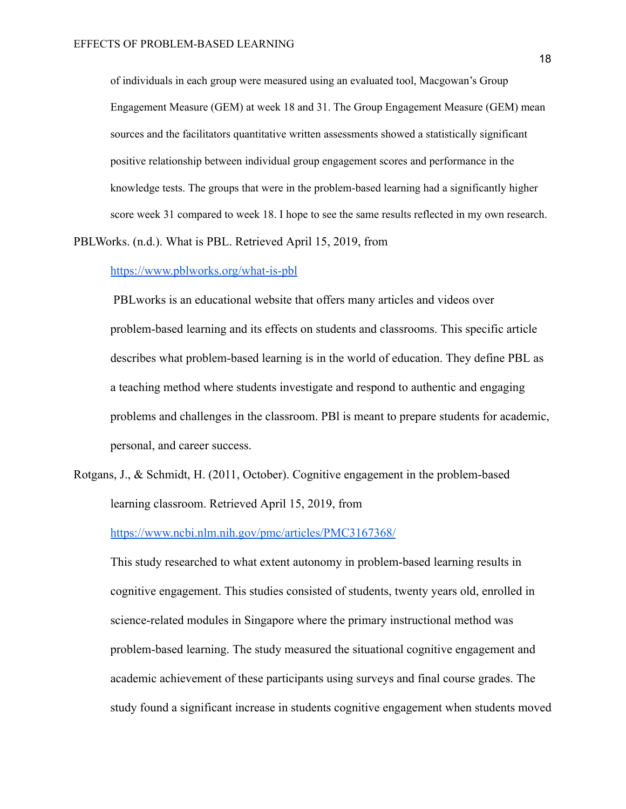of individuals in each group were measured using an evaluated tool, Macgowan's Group Engagement Measure (GEM) at week 18 and 31. The Group Engagement Measure (GEM) mean sources and the facilitators quantitative written assessments showed a statistically significant positive relationship between individual group engagement scores and performance in the knowledge tests. The groups that were in the problem-based learning had a significantly higher score week 31 compared to week 18. I hope to see the same results reflected in my own research.

PBLWorks. (n.d.). What is PBL. Retrieved April 15, 2019, from

<https://www.pblworks.org/what-is-pbl>

 PBLworks is an educational website that offers many articles and videos over problem-based learning and its effects on students and classrooms. This specific article describes what problem-based learning is in the world of education. They define PBL as a teaching method where students investigate and respond to authentic and engaging problems and challenges in the classroom. PBl is meant to prepare students for academic, personal, and career success.

Rotgans, J., & Schmidt, H. (2011, October). Cognitive engagement in the problem-based learning classroom. Retrieved April 15, 2019, from

<https://www.ncbi.nlm.nih.gov/pmc/articles/PMC3167368/>

This study researched to what extent autonomy in problem-based learning results in cognitive engagement. This studies consisted of students, twenty years old, enrolled in science-related modules in Singapore where the primary instructional method was problem-based learning. The study measured the situational cognitive engagement and academic achievement of these participants using surveys and final course grades. The study found a significant increase in students cognitive engagement when students moved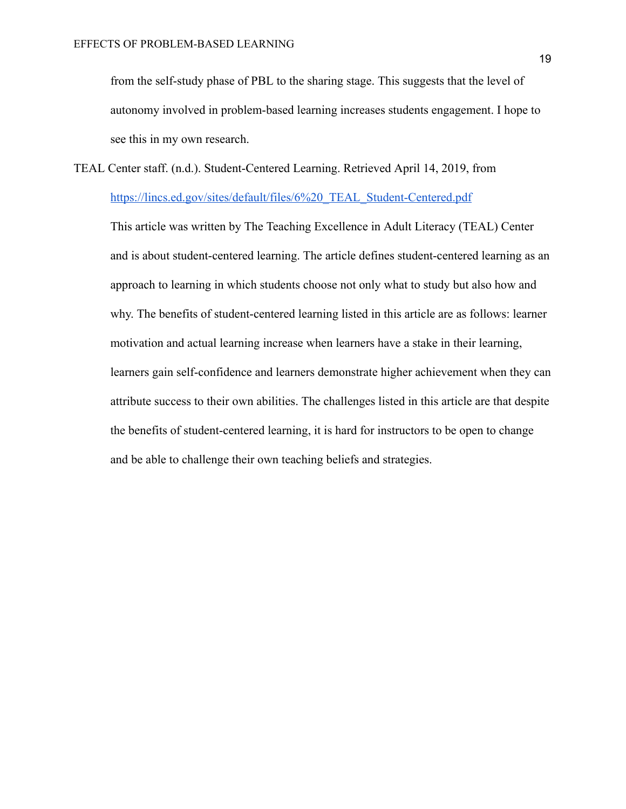from the self-study phase of PBL to the sharing stage. This suggests that the level of autonomy involved in problem-based learning increases students engagement. I hope to see this in my own research.

TEAL Center staff. (n.d.). Student-Centered Learning. Retrieved April 14, 2019, from

[https://lincs.ed.gov/sites/default/files/6%20\\_TEAL\\_Student-Centered.pdf](https://lincs.ed.gov/sites/default/files/6%20_TEAL_Student-Centered.pdf)

This article was written by The Teaching Excellence in Adult Literacy (TEAL) Center and is about student-centered learning. The article defines student-centered learning as an approach to learning in which students choose not only what to study but also how and why. The benefits of student-centered learning listed in this article are as follows: learner motivation and actual learning increase when learners have a stake in their learning, learners gain self-confidence and learners demonstrate higher achievement when they can attribute success to their own abilities. The challenges listed in this article are that despite the benefits of student-centered learning, it is hard for instructors to be open to change and be able to challenge their own teaching beliefs and strategies.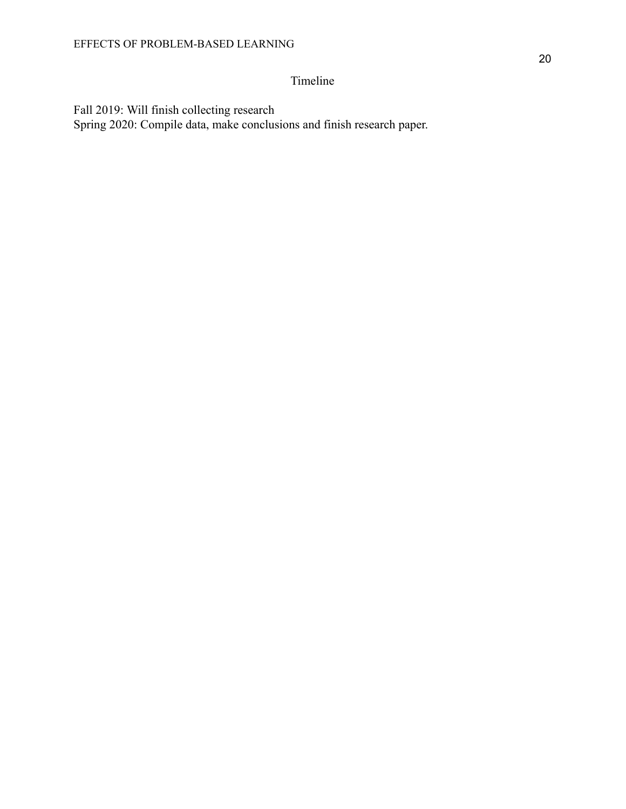# Timeline

Fall 2019: Will finish collecting research Spring 2020: Compile data, make conclusions and finish research paper.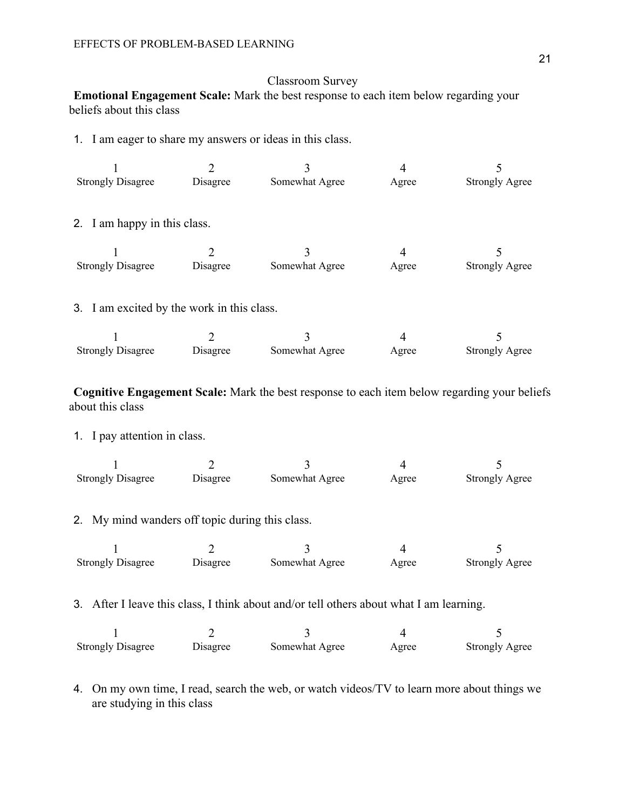# Classroom Survey

**Emotional Engagement Scale:** Mark the best response to each item below regarding your beliefs about this class

1. I am eager to share my answers or ideas in this class.

| 1                                                                                       | $\overline{2}$ | 3              | $\overline{4}$ | 5                     |  |  |
|-----------------------------------------------------------------------------------------|----------------|----------------|----------------|-----------------------|--|--|
| <b>Strongly Disagree</b>                                                                | Disagree       | Somewhat Agree | Agree          | <b>Strongly Agree</b> |  |  |
| 2. I am happy in this class.                                                            |                |                |                |                       |  |  |
|                                                                                         | $\overline{2}$ | 3              | $\overline{4}$ | 5                     |  |  |
| <b>Strongly Disagree</b>                                                                | Disagree       | Somewhat Agree | Agree          | <b>Strongly Agree</b> |  |  |
| 3. I am excited by the work in this class.                                              |                |                |                |                       |  |  |
| 1                                                                                       | $\overline{2}$ | $\overline{3}$ | $\overline{4}$ | 5                     |  |  |
| <b>Strongly Disagree</b>                                                                | Disagree       | Somewhat Agree | Agree          | <b>Strongly Agree</b> |  |  |
| 1. I pay attention in class.                                                            |                |                |                |                       |  |  |
| 1                                                                                       | $\overline{2}$ | 3              | $\overline{4}$ | 5                     |  |  |
| <b>Strongly Disagree</b>                                                                | Disagree       | Somewhat Agree | Agree          | <b>Strongly Agree</b> |  |  |
| 2. My mind wanders off topic during this class.                                         |                |                |                |                       |  |  |
| 1                                                                                       | $\overline{2}$ | 3              | $\overline{4}$ | 5                     |  |  |
| <b>Strongly Disagree</b>                                                                | Disagree       | Somewhat Agree | Agree          | <b>Strongly Agree</b> |  |  |
| 3. After I leave this class, I think about and/or tell others about what I am learning. |                |                |                |                       |  |  |
| 1                                                                                       | $\overline{2}$ | 3              | $\overline{4}$ | 5                     |  |  |
| <b>Strongly Disagree</b>                                                                | Disagree       | Somewhat Agree | Agree          | <b>Strongly Agree</b> |  |  |
|                                                                                         |                |                |                |                       |  |  |

4. On my own time, I read, search the web, or watch videos/TV to learn more about things we are studying in this class